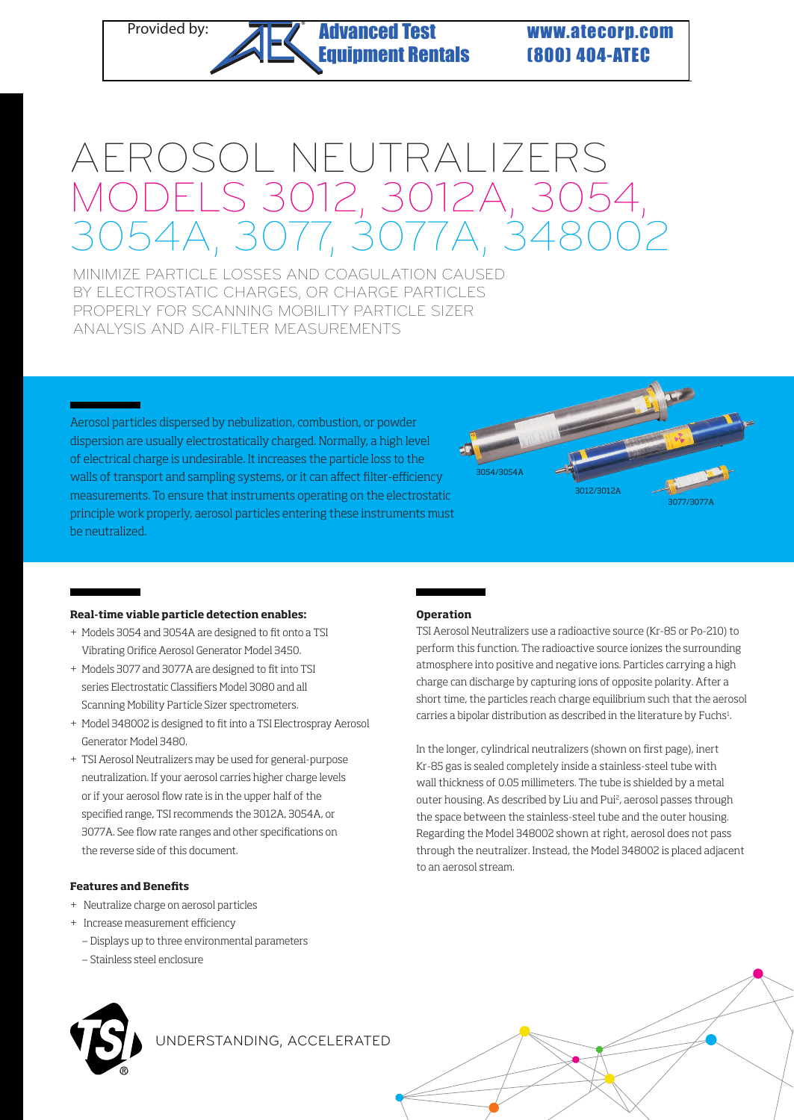# Provided by: **Advanced Test WWW.atecorp.com** [Equipment Rentals](https://www.atecorp.com/)

(800) 404-ATEC

# AEROSOL NEUTRALIZERS MODELS 3012, 3012A, 3054, 3054A, 3077, 3077A, 348002

MINIMIZE PARTICLE LOSSES AND COAGULATION CAUSED BY ELECTROSTATIC CHARGES, OR CHARGE PARTICLES PROPERLY FOR SCANNING MOBILITY PARTICLE SIZER ANALYSIS AND AIR-FILTER MEASUREMENTS

®

Aerosol particles dispersed by nebulization, combustion, or powder dispersion are usually electrostatically charged. Normally, a high level of electrical charge is undesirable. It increases the particle loss to the walls of transport and sampling systems, or it can affect filter-efficiency measurements. To ensure that instruments operating on the electrostatic principle work properly, aerosol particles entering these instruments must be neutralized.



#### **Real-time viable particle detection enables:**

- + Models 3054 and 3054A are designed to fit onto a TSI Vibrating Orifice Aerosol Generator Model 3450.
- + Models 3077 and 3077A are designed to fit into TSI series Electrostatic Classifiers Model 3080 and all Scanning Mobility Particle Sizer spectrometers.
- + Model 348002 is designed to fit into a TSI Electrospray Aerosol Generator Model 3480.
- + TSI Aerosol Neutralizers may be used for general-purpose neutralization. If your aerosol carries higher charge levels or if your aerosol flow rate is in the upper half of the specified range, TSI recommends the 3012A, 3054A, or 3077A. See flow rate ranges and other specifications on the reverse side of this document.

## **Features and Benefits**

- + Neutralize charge on aerosol particles
- + Increase measurement efficiency
	- Displays up to three environmental parameters
	- Stainless steel enclosure



UNDERSTANDING, ACCELERATED

## **Operation**

TSI Aerosol Neutralizers use a radioactive source (Kr-85 or Po-210) to perform this function. The radioactive source ionizes the surrounding atmosphere into positive and negative ions. Particles carrying a high charge can discharge by capturing ions of opposite polarity. After a short time, the particles reach charge equilibrium such that the aerosol carries a bipolar distribution as described in the literature by Fuchs<sup>1</sup>. .

In the longer, cylindrical neutralizers (shown on first page), inert Kr-85 gas is sealed completely inside a stainless-steel tube with wall thickness of 0.05 millimeters. The tube is shielded by a metal outer housing. As described by Liu and Pui<sup>2</sup>, aerosol passes through the space between the stainless-steel tube and the outer housing. Regarding the Model 348002 shown at right, aerosol does not pass through the neutralizer. Instead, the Model 348002 is placed adjacent to an aerosol stream.